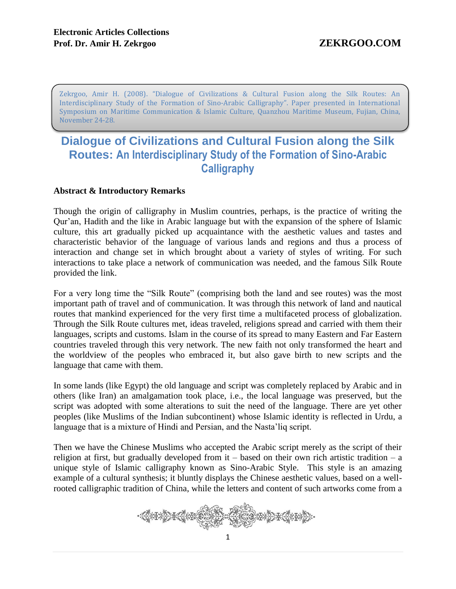Zekrgoo, Amir H. (2008). "Dialogue of Civilizations & Cultural Fusion along the Silk Routes: An Interdisciplinary Study of the Formation of Sino-Arabic Calligraphy". Paper presented in International Symposium on Maritime Communication & Islamic Culture, Quanzhou Maritime Museum, Fujian, China, November 24-28.

# **Dialogue of Civilizations and Cultural Fusion along the Silk Routes: An Interdisciplinary Study of the Formation of Sino-Arabic Calligraphy**

# **Abstract & Introductory Remarks**

Though the origin of calligraphy in Muslim countries, perhaps, is the practice of writing the Qur'an, Hadith and the like in Arabic language but with the expansion of the sphere of Islamic culture, this art gradually picked up acquaintance with the aesthetic values and tastes and characteristic behavior of the language of various lands and regions and thus a process of interaction and change set in which brought about a variety of styles of writing. For such interactions to take place a network of communication was needed, and the famous Silk Route provided the link.

For a very long time the "Silk Route" (comprising both the land and see routes) was the most important path of travel and of communication. It was through this network of land and nautical routes that mankind experienced for the very first time a multifaceted process of globalization. Through the Silk Route cultures met, ideas traveled, religions spread and carried with them their languages, scripts and customs. Islam in the course of its spread to many Eastern and Far Eastern countries traveled through this very network. The new faith not only transformed the heart and the worldview of the peoples who embraced it, but also gave birth to new scripts and the language that came with them.

In some lands (like Egypt) the old language and script was completely replaced by Arabic and in others (like Iran) an amalgamation took place, i.e., the local language was preserved, but the script was adopted with some alterations to suit the need of the language. There are yet other peoples (like Muslims of the Indian subcontinent) whose Islamic identity is reflected in Urdu, a language that is a mixture of Hindi and Persian, and the Nasta'liq script.

Then we have the Chinese Muslims who accepted the Arabic script merely as the script of their religion at first, but gradually developed from  $it -$  based on their own rich artistic tradition – a unique style of Islamic calligraphy known as Sino-Arabic Style. This style is an amazing example of a cultural synthesis; it bluntly displays the Chinese aesthetic values, based on a wellrooted calligraphic tradition of China, while the letters and content of such artworks come from a

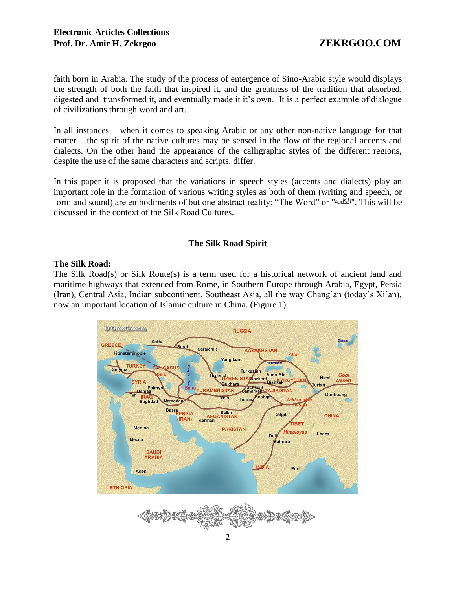faith born in Arabia. The study of the process of emergence of Sino-Arabic style would displays the strength of both the faith that inspired it, and the greatness of the tradition that absorbed, digested and transformed it, and eventually made it it's own. It is a perfect example of dialogue of civilizations through word and art.

In all instances – when it comes to speaking Arabic or any other non-native language for that matter – the spirit of the native cultures may be sensed in the flow of the regional accents and dialects. On the other hand the appearance of the calligraphic styles of the different regions, despite the use of the same characters and scripts, differ.

In this paper it is proposed that the variations in speech styles (accents and dialects) play an important role in the formation of various writing styles as both of them (writing and speech, or form and sound) are embodiments of but one abstract reality: "The Word" or "الكلمه". This will be discussed in the context of the Silk Road Cultures.

# **The Silk Road Spirit**

# **The Silk Road:**

The Silk Road(s) or Silk Route(s) is a term used for a historical network of ancient land and maritime highways that extended from Rome, in Southern Europe through Arabia, Egypt, Persia (Iran), Central Asia, Indian subcontinent, Southeast Asia, all the way Chang'an (today's Xi'an), now an important location of Islamic culture in China. (Figure 1)

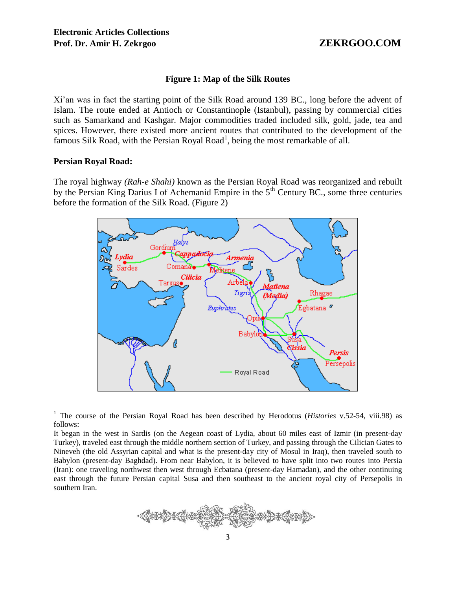### **Figure 1: Map of the Silk Routes**

Xi'an was in fact the starting point of the Silk Road around 139 BC., long before the advent of Islam. The route ended at Antioch or Constantinople (Istanbul), passing by commercial cities such as Samarkand and Kashgar. Major commodities traded included silk, gold, jade, tea and spices. However, there existed more ancient routes that contributed to the development of the famous Silk Road, with the Persian Royal Road<sup>1</sup>, being the most remarkable of all.

### **Persian Royal Road:**

The royal highway *(Rah-e Shahi)* known as the Persian Royal Road was reorganized and rebuilt by the Persian King Darius I of Achemanid Empire in the  $5<sup>th</sup>$  Century BC., some three centuries before the formation of the Silk Road. (Figure 2)



 $\overline{a}$ 1 The course of the Persian Royal Road has been described by Herodotus (*Histories* v.52-54, viii.98) as follows:

It began in the west in Sardis (on the Aegean coast of Lydia, about 60 miles east of Izmir (in present-day Turkey), traveled east through the middle northern section of Turkey, and passing through the Cilician Gates to Nineveh (the old Assyrian capital and what is the present-day city of Mosul in Iraq), then traveled south to Babylon (present-day Baghdad). From near Babylon, it is believed to have split into two routes into Persia (Iran): one traveling northwest then west through Ecbatana (present-day Hamadan), and the other continuing east through the future Persian capital Susa and then southeast to the ancient royal city of Persepolis in southern Iran.

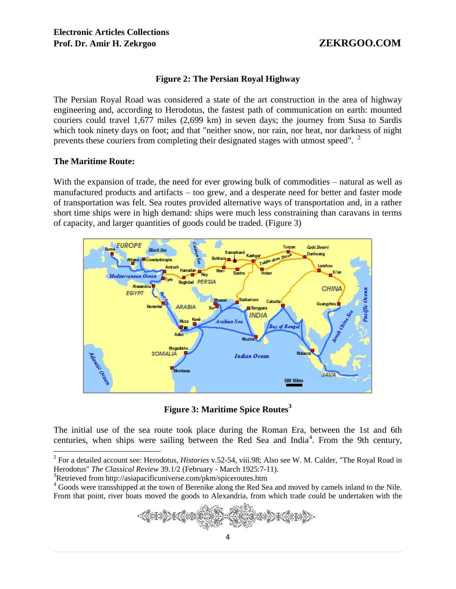# **Figure 2: The Persian Royal Highway**

The Persian Royal Road was considered a state of the art construction in the area of highway engineering and, according to Herodotus, the fastest path of communication on earth: mounted couriers could travel 1,677 miles (2,699 km) in seven days; the journey from Susa to Sardis which took ninety days on foot; and that "neither snow, nor rain, nor heat, nor darkness of night prevents these couriers from completing their designated stages with utmost speed". <sup>2</sup>

### **The Maritime Route:**

With the expansion of trade, the need for ever growing bulk of commodities – natural as well as manufactured products and artifacts – too grew, and a desperate need for better and faster mode of transportation was felt. Sea routes provided alternative ways of transportation and, in a rather short time ships were in high demand: ships were much less constraining than caravans in terms of capacity, and larger quantities of goods could be traded. (Figure 3)



**Figure 3: Maritime Spice Routes<sup>3</sup>**

The initial use of the sea route took place during the Roman Era, between the 1st and 6th centuries, when ships were sailing between the Red Sea and India<sup>4</sup>. From the 9th century,

<sup>&</sup>lt;sup>4</sup> Goods were transshipped at the town of Berenike along the Red Sea and moved by camels inland to the Nile. From that point, river boats moved the goods to Alexandria, from which trade could be undertaken with the



 2 For a detailed account see: Herodotus, *Histories* v.52-54, viii.98; Also see W. M. Calder, "The Royal Road in Herodotus" *The Classical Review* 39.1/2 (February - March 1925:7-11).

<sup>&</sup>lt;sup>3</sup>Retrieved from http://asiapacificuniverse.com/pkm/spiceroutes.htm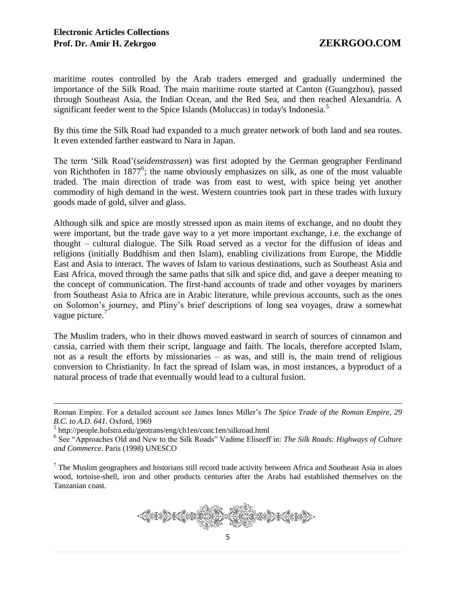maritime routes controlled by the Arab traders emerged and gradually undermined the importance of the Silk Road. The main maritime route started at Canton (Guangzhou), passed through Southeast Asia, the Indian Ocean, and the Red Sea, and then reached Alexandria. A significant feeder went to the Spice Islands (Moluccas) in today's Indonesia.<sup>5</sup>

By this time the Silk Road had expanded to a much greater network of both land and sea routes. It even extended farther eastward to Nara in Japan.

The term 'Silk Road'(*seidenstrassen*) was first adopted by the German geographer Ferdinand von Richthofen in  $1877^6$ ; the name obviously emphasizes on silk, as one of the most valuable traded. The main direction of trade was from east to west, with spice being yet another commodity of high demand in the west. Western countries took part in these trades with luxury goods made of gold, silver and glass.

Although silk and spice are mostly stressed upon as main items of exchange, and no doubt they were important, but the trade gave way to a yet more important exchange, i.e. the exchange of thought – cultural dialogue. The Silk Road served as a vector for the diffusion of ideas and religions (initially Buddhism and then Islam), enabling civilizations from Europe, the Middle East and Asia to interact. The waves of Islam to various destinations, such as Southeast Asia and East Africa, moved through the same paths that silk and spice did, and gave a deeper meaning to the concept of communication. The first-hand accounts of trade and other voyages by mariners from Southeast Asia to Africa are in Arabic literature, while previous accounts, such as the ones on Solomon's journey, and Pliny's brief descriptions of long sea voyages, draw a somewhat vague picture.<sup>7</sup>

The Muslim traders, who in their dhows moved eastward in search of sources of cinnamon and cassia, carried with them their script, language and faith. The locals, therefore accepted Islam, not as a result the efforts by missionaries – as was, and still is, the main trend of religious conversion to Christianity. In fact the spread of Islam was, in most instances, a byproduct of a natural process of trade that eventually would lead to a cultural fusion.

 $\overline{a}$ 

 $<sup>7</sup>$  The Muslim geographers and historians still record trade activity between Africa and Southeast Asia in aloes</sup> wood, tortoise-shell, iron and other products centuries after the Arabs had established themselves on the Tanzanian coast.



Roman Empire. For a detailed account see James Innes Miller's *The Spice Trade of the Roman Empire, 29 B.C. to A.D. 641*. Oxford, 1969

<sup>5</sup> http://people.hofstra.edu/geotrans/eng/ch1en/conc1en/silkroad.html

<sup>&</sup>lt;sup>6</sup> See "Approaches Old and New to the Silk Roads" Vadime Eliseeff in: *The Silk Roads: Highways of Culture and Commerce*. Paris (1998) UNESCO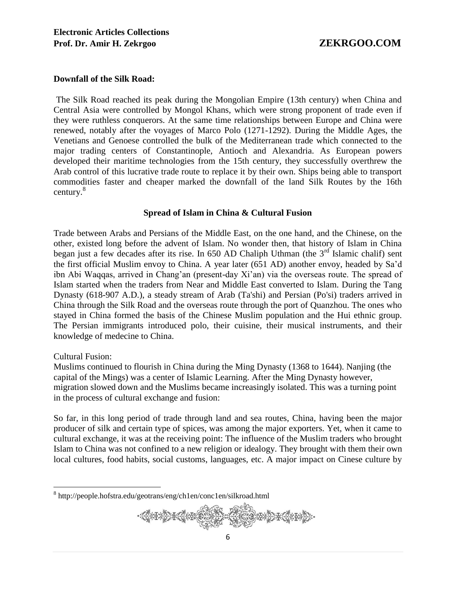### **Downfall of the Silk Road:**

The Silk Road reached its peak during the Mongolian Empire (13th century) when China and Central Asia were controlled by Mongol Khans, which were strong proponent of trade even if they were ruthless conquerors. At the same time relationships between Europe and China were renewed, notably after the voyages of Marco Polo (1271-1292). During the Middle Ages, the Venetians and Genoese controlled the bulk of the Mediterranean trade which connected to the major trading centers of Constantinople, Antioch and Alexandria. As European powers developed their maritime technologies from the 15th century, they successfully overthrew the Arab control of this lucrative trade route to replace it by their own. Ships being able to transport commodities faster and cheaper marked the downfall of the land Silk Routes by the 16th century.<sup>8</sup>

### **Spread of Islam in China & Cultural Fusion**

Trade between Arabs and Persians of the Middle East, on the one hand, and the Chinese, on the other, existed long before the advent of Islam. No wonder then, that history of Islam in China began just a few decades after its rise. In 650 AD Chaliph Uthman (the  $3<sup>rd</sup>$  Islamic chalif) sent the first official Muslim envoy to China. A year later (651 AD) another envoy, headed by Sa'd ibn Abi Waqqas, arrived in Chang'an (present-day Xi'an) via the overseas route. The spread of Islam started when the traders from Near and Middle East converted to Islam. During the Tang Dynasty (618-907 A.D.), a steady stream of Arab (Ta'shi) and Persian (Po'si) traders arrived in China through the Silk Road and the overseas route through the port of Quanzhou. The ones who stayed in China formed the basis of the Chinese Muslim population and the Hui ethnic group. The Persian immigrants introduced polo, their cuisine, their musical instruments, and their knowledge of medecine to China.

### Cultural Fusion:

 $\overline{a}$ 

Muslims continued to flourish in China during the Ming Dynasty (1368 to 1644). Nanjing (the capital of the Mings) was a center of Islamic Learning. After the Ming Dynasty however, migration slowed down and the Muslims became increasingly isolated. This was a turning point in the process of cultural exchange and fusion:

So far, in this long period of trade through land and sea routes, China, having been the major producer of silk and certain type of spices, was among the major exporters. Yet, when it came to cultural exchange, it was at the receiving point: The influence of the Muslim traders who brought Islam to China was not confined to a new religion or idealogy. They brought with them their own local cultures, food habits, social customs, languages, etc. A major impact on Cinese culture by

<sup>8</sup> http://people.hofstra.edu/geotrans/eng/ch1en/conc1en/silkroad.html

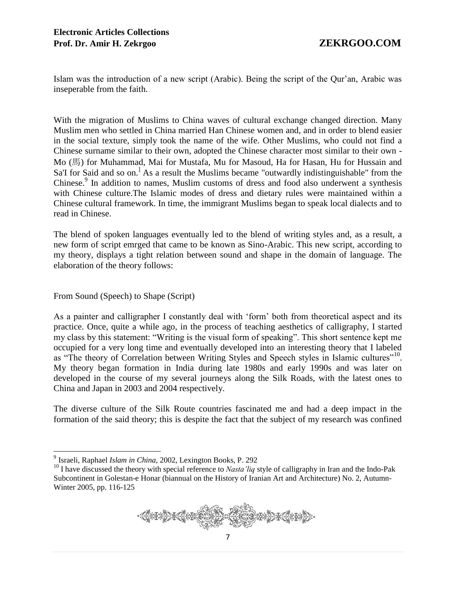Islam was the introduction of a new script (Arabic). Being the script of the Qur'an, Arabic was inseperable from the faith.

With the migration of Muslims to China waves of cultural exchange changed direction. Many Muslim men who settled in China married Han Chinese women and, and in order to blend easier in the social texture, simply took the name of the wife. Other Muslims, who could not find a Chinese surname similar to their own, adopted the Chinese character most similar to their own - Mo (馬) for Muhammad, Mai for Mustafa, Mu for Masoud, Ha for Hasan, Hu for Hussain and Sa'I for Said and so on.<sup>1</sup> As a result the Muslims became "outwardly indistinguishable" from the Chinese.<sup>9</sup> In addition to names, Muslim customs of dress and food also underwent a synthesis with Chinese culture.The Islamic modes of dress and dietary rules were maintained within a Chinese cultural framework. In time, the immigrant Muslims began to speak local dialects and to read in Chinese.

The blend of spoken languages eventually led to the blend of writing styles and, as a result, a new form of script emrged that came to be known as Sino-Arabic. This new script, according to my theory, displays a tight relation between sound and shape in the domain of language. The elaboration of the theory follows:

# From Sound (Speech) to Shape (Script)

As a painter and calligrapher I constantly deal with 'form' both from theoretical aspect and its practice. Once, quite a while ago, in the process of teaching aesthetics of calligraphy, I started my class by this statement: "Writing is the visual form of speaking". This short sentence kept me occupied for a very long time and eventually developed into an interesting theory that I labeled as "The theory of Correlation between Writing Styles and Speech styles in Islamic cultures"<sup>10</sup>. My theory began formation in India during late 1980s and early 1990s and was later on developed in the course of my several journeys along the Silk Roads, with the latest ones to China and Japan in 2003 and 2004 respectively.

The diverse culture of the Silk Route countries fascinated me and had a deep impact in the formation of the said theory; this is despite the fact that the subject of my research was confined

<sup>&</sup>lt;sup>10</sup> I have discussed the theory with special reference to *Nasta'liq* style of calligraphy in Iran and the Indo-Pak Subcontinent in Golestan-e Honar (biannual on the History of Iranian Art and Architecture) No. 2, Autumn-Winter 2005, pp. 116-125



 9 Israeli, Raphael *Islam in China*, 2002, Lexington Books, P. 292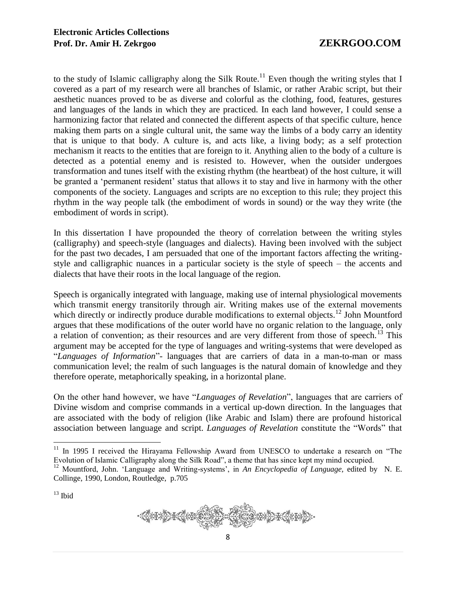to the study of Islamic calligraphy along the Silk Route.<sup>11</sup> Even though the writing styles that I covered as a part of my research were all branches of Islamic, or rather Arabic script, but their aesthetic nuances proved to be as diverse and colorful as the clothing, food, features, gestures and languages of the lands in which they are practiced. In each land however, I could sense a harmonizing factor that related and connected the different aspects of that specific culture, hence making them parts on a single cultural unit, the same way the limbs of a body carry an identity that is unique to that body. A culture is, and acts like, a living body; as a self protection mechanism it reacts to the entities that are foreign to it. Anything alien to the body of a culture is detected as a potential enemy and is resisted to. However, when the outsider undergoes transformation and tunes itself with the existing rhythm (the heartbeat) of the host culture, it will be granted a 'permanent resident' status that allows it to stay and live in harmony with the other components of the society. Languages and scripts are no exception to this rule; they project this rhythm in the way people talk (the embodiment of words in sound) or the way they write (the embodiment of words in script).

In this dissertation I have propounded the theory of correlation between the writing styles (calligraphy) and speech-style (languages and dialects). Having been involved with the subject for the past two decades, I am persuaded that one of the important factors affecting the writingstyle and calligraphic nuances in a particular society is the style of speech – the accents and dialects that have their roots in the local language of the region.

Speech is organically integrated with language, making use of internal physiological movements which transmit energy transitorily through air. Writing makes use of the external movements which directly or indirectly produce durable modifications to external objects.<sup>12</sup> John Mountford argues that these modifications of the outer world have no organic relation to the language, only a relation of convention; as their resources and are very different from those of speech.<sup>13</sup> This argument may be accepted for the type of languages and writing-systems that were developed as "*Languages of Information*"- languages that are carriers of data in a man-to-man or mass communication level; the realm of such languages is the natural domain of knowledge and they therefore operate, metaphorically speaking, in a horizontal plane.

On the other hand however, we have "*Languages of Revelation*", languages that are carriers of Divine wisdom and comprise commands in a vertical up-down direction. In the languages that are associated with the body of religion (like Arabic and Islam) there are profound historical association between language and script. *Languages of Revelation* constitute the "Words" that

 $13$  Ibid

 $\overline{a}$ 



 $11$  In 1995 I received the Hirayama Fellowship Award from UNESCO to undertake a research on "The Evolution of Islamic Calligraphy along the Silk Road", a theme that has since kept my mind occupied.<br><sup>12</sup> Mountford. John 'I anguage and Writing overceen', in A Fig. 3.

<sup>12</sup> Mountford, John. 'Language and Writing-systems', in *An Encyclopedia of Language,* edited by N. E. Collinge, 1990, London, Routledge, p.705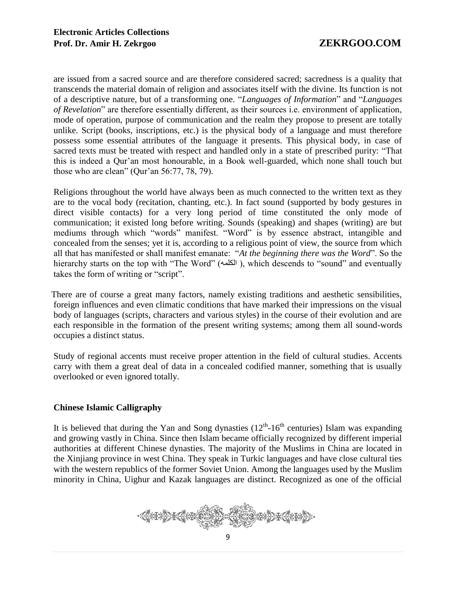are issued from a sacred source and are therefore considered sacred; sacredness is a quality that transcends the material domain of religion and associates itself with the divine. Its function is not of a descriptive nature, but of a transforming one. "*Languages of Information*" and "*Languages of Revelation*" are therefore essentially different, as their sources i.e. environment of application, mode of operation, purpose of communication and the realm they propose to present are totally unlike. Script (books, inscriptions, etc.) is the physical body of a language and must therefore possess some essential attributes of the language it presents. This physical body, in case of sacred texts must be treated with respect and handled only in a state of prescribed purity: "That this is indeed a Qur'an most honourable, in a Book well-guarded, which none shall touch but those who are clean" (Qur'an 56:77, 78, 79).

Religions throughout the world have always been as much connected to the written text as they are to the vocal body (recitation, chanting, etc.). In fact sound (supported by body gestures in direct visible contacts) for a very long period of time constituted the only mode of communication; it existed long before writing. Sounds (speaking) and shapes (writing) are but mediums through which "words" manifest. "Word" is by essence abstract, intangible and concealed from the senses; yet it is, according to a religious point of view, the source from which all that has manifested or shall manifest emanate: "*At the beginning there was the Word*". So the hierarchy starts on the top with "The Word" (الكلمه) , which descends to "sound" and eventually takes the form of writing or "script".

 There are of course a great many factors, namely existing traditions and aesthetic sensibilities, foreign influences and even climatic conditions that have marked their impressions on the visual body of languages (scripts, characters and various styles) in the course of their evolution and are each responsible in the formation of the present writing systems; among them all sound-words occupies a distinct status.

Study of regional accents must receive proper attention in the field of cultural studies. Accents carry with them a great deal of data in a concealed codified manner, something that is usually overlooked or even ignored totally.

# **Chinese Islamic Calligraphy**

It is believed that during the Yan and Song dynasties  $(12<sup>th</sup>-16<sup>th</sup>$  centuries) Islam was expanding and growing vastly in China. Since then Islam became officially recognized by different imperial authorities at different Chinese dynasties. The majority of the Muslims in China are located in the Xinjiang province in west China. They speak in Turkic languages and have close cultural ties with the western republics of the former Soviet Union. Among the languages used by the Muslim minority in China, Uighur and Kazak languages are distinct. Recognized as one of the official

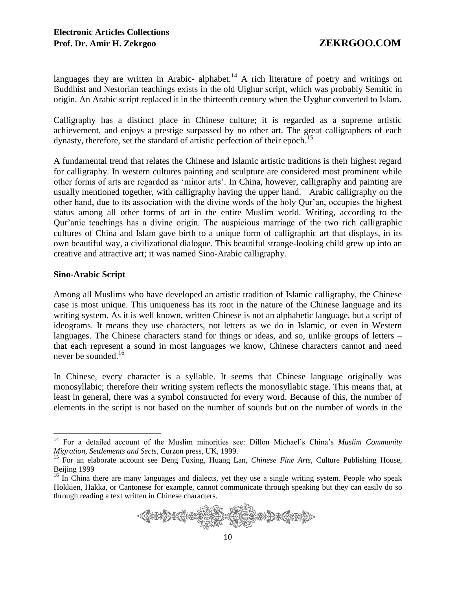languages they are written in Arabic- alphabet.<sup>14</sup> A rich literature of poetry and writings on Buddhist and Nestorian teachings exists in the old Uighur script, which was probably Semitic in origin. An Arabic script replaced it in the thirteenth century when the Uyghur converted to Islam.

Calligraphy has a distinct place in Chinese culture; it is regarded as a supreme artistic achievement, and enjoys a prestige surpassed by no other art. The great calligraphers of each dynasty, therefore, set the standard of artistic perfection of their epoch.<sup>15</sup>

A fundamental trend that relates the Chinese and Islamic artistic traditions is their highest regard for calligraphy. In western cultures painting and sculpture are considered most prominent while other forms of arts are regarded as 'minor arts'. In China, however, calligraphy and painting are usually mentioned together, with calligraphy having the upper hand. Arabic calligraphy on the other hand, due to its association with the divine words of the holy Qur'an, occupies the highest status among all other forms of art in the entire Muslim world. Writing, according to the Qur'anic teachings has a divine origin. The auspicious marriage of the two rich calligraphic cultures of China and Islam gave birth to a unique form of calligraphic art that displays, in its own beautiful way, a civilizational dialogue. This beautiful strange-looking child grew up into an creative and attractive art; it was named Sino-Arabic calligraphy.

# **Sino-Arabic Script**

 $\overline{a}$ 

Among all Muslims who have developed an artistic tradition of Islamic calligraphy, the Chinese case is most unique. This uniqueness has its root in the nature of the Chinese language and its writing system. As it is well known, written Chinese is not an alphabetic language, but a script of ideograms. It means they use characters, not letters as we do in Islamic, or even in Western languages. The Chinese characters stand for things or ideas, and so, unlike groups of letters – that each represent a sound in most languages we know, Chinese characters cannot and need never be sounded.<sup>16</sup>

In Chinese, every character is a syllable. It seems that Chinese language originally was monosyllabic; therefore their writing system reflects the monosyllabic stage. This means that, at least in general, there was a symbol constructed for every word. Because of this, the number of elements in the script is not based on the number of sounds but on the number of words in the

<sup>&</sup>lt;sup>16</sup> In China there are many languages and dialects, yet they use a single writing system. People who speak Hokkien, Hakka, or Cantonese for example, cannot communicate through speaking but they can easily do so through reading a text written in Chinese characters.



<sup>14</sup> For a detailed account of the Muslim minorities see: Dillon Michael's China's *Muslim Community Migration, Settlements and Sects,* Curzon press, UK, 1999.

<sup>&</sup>lt;sup>15</sup> For an elaborate account see Deng Fuxing, Huang Lan, *Chinese Fine Arts*, Culture Publishing House, Beijing 1999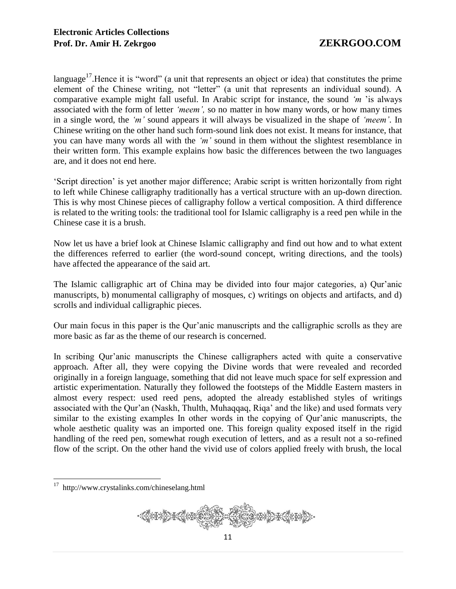language<sup>17</sup>. Hence it is "word" (a unit that represents an object or idea) that constitutes the prime element of the Chinese writing, not "letter" (a unit that represents an individual sound). A comparative example might fall useful. In Arabic script for instance, the sound *'m* 'is always associated with the form of letter *'meem',* so no matter in how many words, or how many times in a single word, the *'m'* sound appears it will always be visualized in the shape of *'meem'*. In Chinese writing on the other hand such form-sound link does not exist. It means for instance, that you can have many words all with the *'m'* sound in them without the slightest resemblance in their written form. This example explains how basic the differences between the two languages are, and it does not end here.

'Script direction' is yet another major difference; Arabic script is written horizontally from right to left while Chinese calligraphy traditionally has a vertical structure with an up-down direction. This is why most Chinese pieces of calligraphy follow a vertical composition. A third difference is related to the writing tools: the traditional tool for Islamic calligraphy is a reed pen while in the Chinese case it is a brush.

Now let us have a brief look at Chinese Islamic calligraphy and find out how and to what extent the differences referred to earlier (the word-sound concept, writing directions, and the tools) have affected the appearance of the said art.

The Islamic calligraphic art of China may be divided into four major categories, a) Qur'anic manuscripts, b) monumental calligraphy of mosques, c) writings on objects and artifacts, and d) scrolls and individual calligraphic pieces.

Our main focus in this paper is the Qur'anic manuscripts and the calligraphic scrolls as they are more basic as far as the theme of our research is concerned.

In scribing Qur'anic manuscripts the Chinese calligraphers acted with quite a conservative approach. After all, they were copying the Divine words that were revealed and recorded originally in a foreign language, something that did not leave much space for self expression and artistic experimentation. Naturally they followed the footsteps of the Middle Eastern masters in almost every respect: used reed pens, adopted the already established styles of writings associated with the Qur'an (Naskh, Thulth, Muhaqqaq, Riqa' and the like) and used formats very similar to the existing examples In other words in the copying of Qur'anic manuscripts, the whole aesthetic quality was an imported one. This foreign quality exposed itself in the rigid handling of the reed pen, somewhat rough execution of letters, and as a result not a so-refined flow of the script. On the other hand the vivid use of colors applied freely with brush, the local

 17 http://www.crystalinks.com/chineselang.html

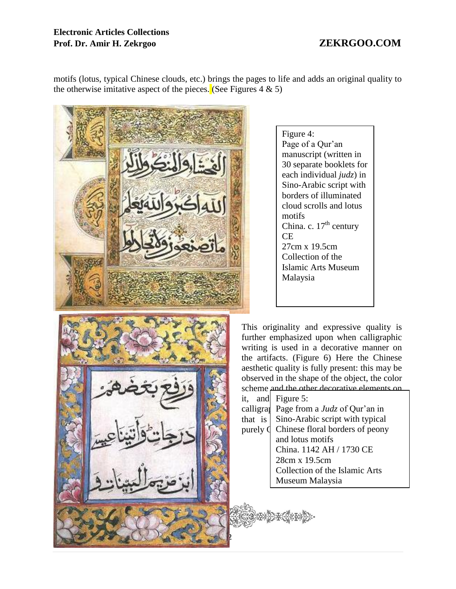# **Electronic Articles Collections Prof. Dr. Amir H. Zekrgoo ZEKRGOO.COM**

motifs (lotus, typical Chinese clouds, etc.) brings the pages to life and adds an original quality to the otherwise imitative aspect of the pieces. (See Figures 4  $\&$  5)



Figure 4: Page of a Qur'an manuscript (written in 30 separate booklets for each individual *judz*) in Sino-Arabic script with borders of illuminated cloud scrolls and lotus motifs China. c.  $17<sup>th</sup>$  century CE 27cm x 19.5cm Collection of the Islamic Arts Museum Malaysia

This originality and expressive quality is further emphasized upon when calligraphic writing is used in a decorative manner on the artifacts. (Figure 6) Here the Chinese aesthetic quality is fully present: this may be observed in the shape of the object, the color scheme and the other decorative elements on it, and Figure 5: calligra Page from a *Judz* of Qur'an in that is  $\vert$  Sino-Arabic script with typical purely  $\oint$  Chinese floral borders of peony and lotus motifs China. 1142 AH / 1730 CE 28cm x 19.5cm Collection of the Islamic Arts Museum Malaysia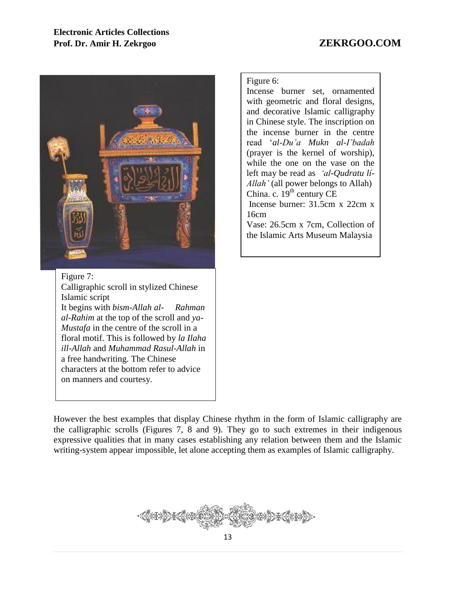

Figure 7: Calligraphic scroll in stylized Chinese Islamic script It begins with *bism-Allah al- Rahman al-Rahim* at the top of the scroll and *ya-Mustafa* in the centre of the scroll in a floral motif. This is followed by *la Ilaha ill-Allah* and *Muhammad Rasul-Allah* in a free handwriting. The Chinese characters at the bottom refer to advice on manners and courtesy.

Figure 6:

Incense burner set, ornamented with geometric and floral designs, and decorative Islamic calligraphy in Chinese style. The inscription on the incense burner in the centre read '*al-Du'a Mukn al-I'badah*  (prayer is the kernel of worship), while the one on the vase on the left may be read as *'al-Qudratu lí-Allah'* (all power belongs to Allah) China. c.  $19^{th}$  century CE

Incense burner: 31.5cm x 22cm x 16cm

Vase: 26.5cm x 7cm, Collection of the Islamic Arts Museum Malaysia

However the best examples that display Chinese rhythm in the form of Islamic calligraphy are the calligraphic scrolls (Figures 7, 8 and 9). They go to such extremes in their indigenous expressive qualities that in many cases establishing any relation between them and the Islamic writing-system appear impossible, let alone accepting them as examples of Islamic calligraphy.

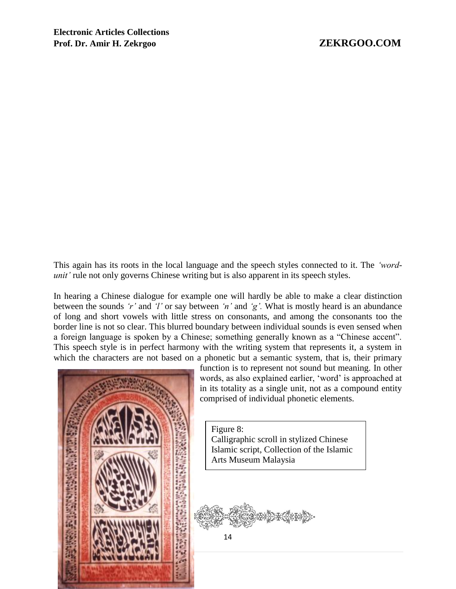This again has its roots in the local language and the speech styles connected to it. The *'wordunit'* rule not only governs Chinese writing but is also apparent in its speech styles.

In hearing a Chinese dialogue for example one will hardly be able to make a clear distinction between the sounds *'r'* and *'l'* or say between *'n'* and *'g'.* What is mostly heard is an abundance of long and short vowels with little stress on consonants, and among the consonants too the border line is not so clear. This blurred boundary between individual sounds is even sensed when a foreign language is spoken by a Chinese; something generally known as a "Chinese accent". This speech style is in perfect harmony with the writing system that represents it, a system in which the characters are not based on a phonetic but a semantic system, that is, their primary



function is to represent not sound but meaning. In other words, as also explained earlier, 'word' is approached at in its totality as a single unit, not as a compound entity comprised of individual phonetic elements.

Figure 8: Calligraphic scroll in stylized Chinese Islamic script, Collection of the Islamic Arts Museum Malaysia

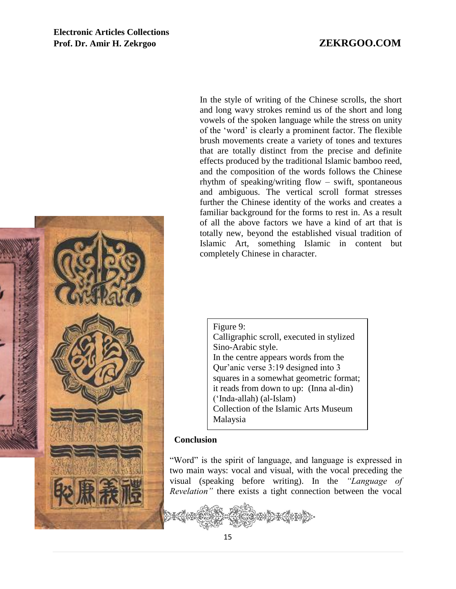

In the style of writing of the Chinese scrolls, the short and long wavy strokes remind us of the short and long vowels of the spoken language while the stress on unity of the 'word' is clearly a prominent factor. The flexible brush movements create a variety of tones and textures that are totally distinct from the precise and definite effects produced by the traditional Islamic bamboo reed, and the composition of the words follows the Chinese rhythm of speaking/writing flow – swift, spontaneous and ambiguous. The vertical scroll format stresses further the Chinese identity of the works and creates a familiar background for the forms to rest in. As a result of all the above factors we have a kind of art that is totally new, beyond the established visual tradition of Islamic Art, something Islamic in content but completely Chinese in character.

Figure 9: Calligraphic scroll, executed in stylized Sino-Arabic style. In the centre appears words from the Qur'anic verse 3:19 designed into 3 squares in a somewhat geometric format; it reads from down to up: (Inna al-din) ('Inda-allah) (al-Islam) Collection of the Islamic Arts Museum Malaysia

### **Conclusion**

"Word" is the spirit of language, and language is expressed in two main ways: vocal and visual, with the vocal preceding the visual (speaking before writing). In the *"Language of Revelation"* there exists a tight connection between the vocal